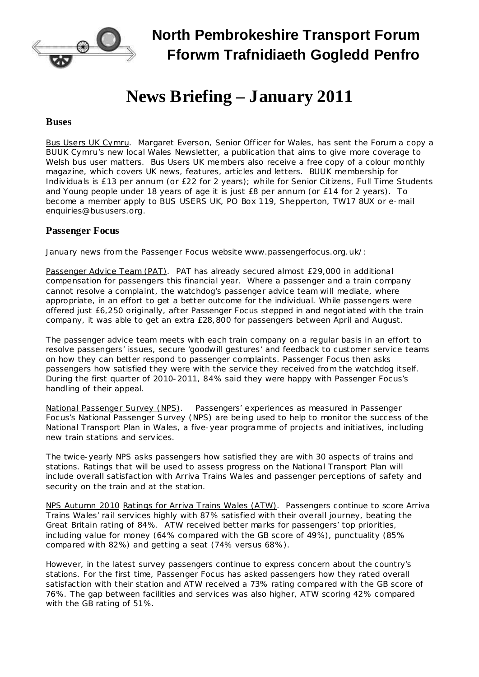

## **North Pembrokeshire Transport Forum Fforwm Trafnidiaeth Gogledd Penfro**

# **News Briefing – January 2011**

#### **Buses**

Bus Users UK Cymru. Margaret Everson, Senior Officer for Wales, has sent the Forum a copy a BUUK Cymru's new local Wales Newsletter, a publication that aims to give more coverage to Welsh bus user matters. Bus Users UK members also receive a free copy of a colour monthly magazine, which covers UK news, features, articles and letters. BUUK membership for Individuals is £13 per annum (or £22 for 2 years); while for Senior Citizens, Full Time Students and Young people under 18 years of age it is just £8 per annum (or £14 for 2 years). To become a member apply to BUS USERS UK, PO Box 119, Shepperton, TW17 8UX or e-mail [enquiries@bususers.org.](mailto:enquiries@bususers.org)

#### **Passenger Focus**

January news from the Passenger Focus website [www.passengerfocus.org.uk/:](http://www.passengerfocus.org.uk/)

Passenger Advice Team (PAT). PAT has already secured almost £29,000 in additional compensation for passengers this financial year. Where a passenger and a train company cannot resolve a complaint, the watchdog's passenger advice team will mediate, where appropriate, in an effort to get a better outcome for the individual. While passengers were offered just £6,250 originally, after Passenger Focus stepped in and negotiated with the train company, it was able to get an extra £28,800 for passengers between April and August.

The passenger advice team meets with each train company on a regular basis in an effort to resolve passengers' issues, secure 'goodwill gestures' and feedback to customer service teams on how they can better respond to passenger complaints. Passenger Focus then asks passengers how satisfied they were with the service they received from the watchdog itself. During the first quarter of 2010-2011, 84% said they were happy with Passenger Focus's handling of their appeal.

National Passenger Survey (NPS). Passengers' experiences as measured in Passenger Focus's National Passenger Survey (NPS) are being used to help to monitor the success of the National Transport Plan in Wales, a five-year programme of projects and initiatives, including new train stations and services.

The twice-yearly NPS asks passengers how satisfied they are with 30 aspects of trains and stations. Ratings that will be used to assess progress on the National Transport Plan will include overall satisfaction with Arriva Trains Wales and passenger perceptions of safety and security on the train and at the station.

NPS Autumn 2010 Ratings for Arriva Trains Wales (ATW). Passengers continue to score Arriva Trains Wales' rail services highly with 87% satisfied with their overall journey, beating the Great Britain rating of 84%. ATW received better marks for passengers' top priorities, including value for money (64% compared with the GB score of 49%), punctuality (85% compared with 82%) and getting a seat (74% versus 68%).

However, in the latest survey passengers continue to express concern about the country's stations. For the first time, Passenger Focus has asked passengers how they rated overall satisfaction with their station and ATW received a 73% rating compared with the GB score of 76%. The gap between facilities and services was also higher, ATW scoring 42% compared with the GB rating of 51%.